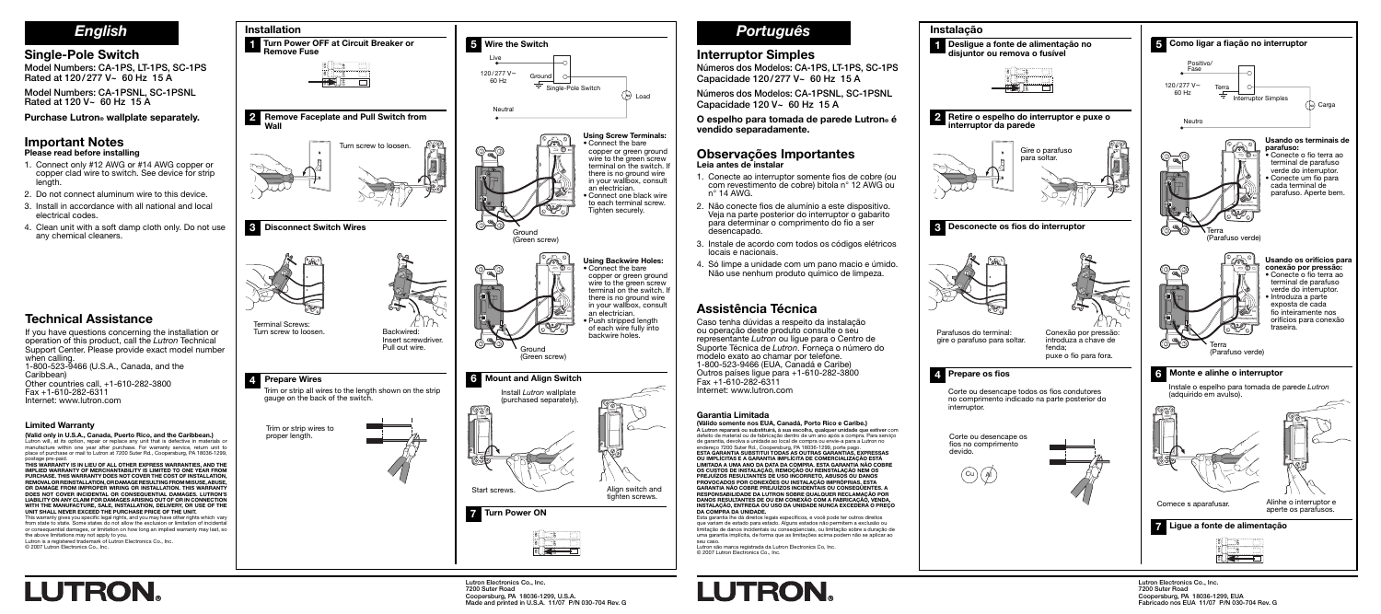**Lutron Electronics Co., Inc. 7200 Suter Road Coopersburg, PA 18036-1299, EUA Fabricado nos EUA 11/07 P/N 030-704 Rev. G**

### **Interruptor Simples**

**Números dos Modelos: CA-1PS, LT-1PS, SC-1PS Capacidade 120 / 277 V~ 60 Hz 15 A**

**Números dos Modelos: CA-1PSNL, SC-1PSNL Capacidade 120 V~ 60 Hz 15 A**

**O espelho para tomada de parede Lutron® é vendido separadamente.**

### **Observações Importantes Leia antes de instalar**

- 1. Conecte ao interruptor somente fios de cobre (ou com revestimento de cobre) bitola n° 12 AWG ou n° 14 AWG.
- 2. Não conecte fios de alumínio a este dispositivo. Veja na parte posterior do interruptor o gabarito para determinar o comprimento do fio a ser desencapado.
- 3. Instale de acordo com todos os códigos elétricos locais e nacionais.
- 4. Só limpe a unidade com um pano macio e úmido. Não use nenhum produto químico de limpeza.

**Lutron Electronics Co., Inc. 7200 Suter Road**

**Coopersburg, PA 18036-1299, U.S.A.**

**Made and printed in U.S.A. 11/07 P/N 030-704 Rev. G**

## **Single-Pole Switch**

**Model Numbers: CA-1PS, LT-1PS, SC-1PS Rated at 120 / 277 V~ 60 Hz 15 A**

**Model Numbers: CA-1PSNL, SC-1PSNL Rated at 120 V~ 60 Hz 15 A**

**Purchase Lutron® wallplate separately.**

#### **Important Notes Please read before installing**

- 1. Connect only #12 AWG or #14 AWG copper or copper clad wire to switch. See device for strip length.
- 2. Do not connect aluminum wire to this device.
- 3. Install in accordance with all national and local electrical codes.
- 4. Clean unit with a soft damp cloth only. Do not use any chemical cleaners.



# **Technical Assistance**

If you have questions concerning the installation or operation of this product, call the Lutron Technical Support Center. Please provide exact model number when calling. 1-800-523-9466 (U.S.A., Canada, and the Caribbean) Other countries call, +1-610-282-3800 Fax +1-610-282-6311 Internet: www.lutron.com

### **Limited Warranty**

**(Valid only in U.S.A., Canada, Puerto Rico, and the Caribbean.)** Lutron will, at its option, repair or replace any unit that is defective in materials or manufacture within one year after purchase. For warranty service, return unit to place of purchase or mail to Lutron at 7200 Suter Rd., Coopersburg, PA 18036-1299,

postage pre-paid. **THIS WARRANTY IS IN LIEU OF ALL OTHER EXPRESS WARRANTIES, AND THE IMPLIED WARRANTY OF MERCHANTABILITY IS LIMITED TO ONE YEAR FROM PURCHASE. THIS WARRANTY DOES NOT COVER THE COST OF INSTALLATION, REMOVAL OR REINSTALLATION, OR DAMAGE RESULTING FROM MISUSE, ABUSE, OR DAMAGE FROM IMPROPER WIRING OR INSTALLATION. THIS WARRANTY DOES NOT COVER INCIDENTAL OR CONSEQUENTIAL DAMAGES. LUTRON'S LIABILITY ON ANY CLAIM FOR DAMAGES ARISING OUT OF OR IN CONNECTION WITH THE MANUFACTURE, SALE, INSTALLATION, DELIVERY, OR USE OF THE UNIT SHALL NEVER EXCEED THE PURCHASE PRICE OF THE UNIT.** This warranty gives you specifi c legal rights, and you may have other rights which vary

from state to state. Some states do not allow the exclusion or limitation of incidental or consequential damages, or limitation on how long an implied warranty may last, so the above limitations may not apply to you.

Lutron is a registered trademark of Lutron Electronics Co., Inc. © 2007 Lutron Electronics Co., Inc.

**LUTRON** 





# **Assistência Técnica**

Caso tenha dúvidas a respeito da instalação ou operação deste produto consulte o seu representante Lutron ou ligue para o Centro de Suporte Técnica de Lutron. Forneca o número do modelo exato ao chamar por telefone. 1-800-523-9466 (EUA, Canadá e Caribe) Outros países ligue para +1-610-282-3800 Fax +1-610-282-6311 Internet: www.lutron.com

#### **Garantia Limitada**

**(Válido somente nos EUA, Canadá, Porto Rico e Caribe.) A Lutron reparará ou substituirá, à sua escolha, qualquer unidade que estiver** com defeito de material ou de fabricação dentro de um ano após a compra. Para serviço de garantia, devolva a unidade ao local de compra ou envie-a para a Lutron no<br>endereço 7200 Suter Rd., Coopersburg, PA 18036-1299, porte pago.<br>ESTA GARANTIA SUBSTITUI TODAS AS OUTRAS GARANTIAS, EXPRESSAS<br>OU IMPLÍCITAS E A **OS CUSTOS DE INSTALAÇÃO, REMOÇÃO OU REINSTALAÇÃO NEM OS PREJUÍZOS RESULTANTES DE USO INCORRETO, ABUSOS OU DANOS PROVOCADOS POR CONEXÕES OU INSTALAÇÃO IMPRÓPRIAS. ESTA GARANTIA NÃO COBRE PREJUÍZOS INCIDENTAIS OU CONSEQÜENTES. A RESPONSABILIDADE DA LUTRON SOBRE QUALQUER RECLAMAÇÃO POR DANOS RESULTANTES DE OU EM CONEXÃO COM A FABRICAÇÃO, VENDA, INSTALAÇÃO, ENTREGA OU USO DA UNIDADE NUNCA EXCEDERÁ O PREÇO DA COMPRA DA UNIDADE.**

Esta garantia lhe dá direitos legais específi cos, e você pode ter outros direitos que variam de estado para estado. Alguns estados não permitem a exclusão ou limitação de danos incidentais ou conseqüenciais, ou limitação sobre a duração de uma garantia implícita, de forma que as limitações acima podem não se aplicar ao

seu caso. Lutron são marca registrada da Lutron Electronics Co, Inc. © 2007 Lutron Electronics Co., Inc.